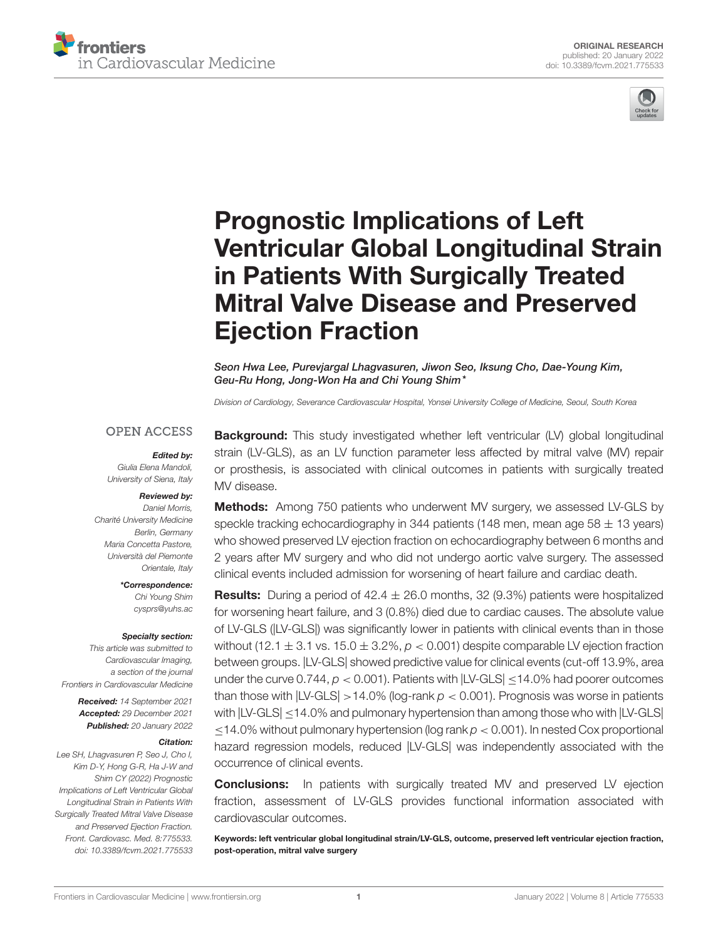



# Prognostic Implications of Left [Ventricular Global Longitudinal Strain](https://www.frontiersin.org/articles/10.3389/fcvm.2021.775533/full) in Patients With Surgically Treated Mitral Valve Disease and Preserved Ejection Fraction

Seon Hwa Lee, Purevjargal Lhagvasuren, Jiwon Seo, Iksung Cho, Dae-Young Kim, Geu-Ru Hong, Jong-Won Ha and Chi Young Shim\*

Division of Cardiology, Severance Cardiovascular Hospital, Yonsei University College of Medicine, Seoul, South Korea

#### **OPEN ACCESS**

Edited by:

Giulia Elena Mandoli, University of Siena, Italy

#### Reviewed by:

Daniel Morris, Charité University Medicine Berlin, Germany Maria Concetta Pastore, Università del Piemonte Orientale, Italy

> \*Correspondence: Chi Young Shim [cysprs@yuhs.ac](mailto:cysprs@yuhs.ac)

#### Specialty section:

This article was submitted to Cardiovascular Imaging, a section of the journal Frontiers in Cardiovascular Medicine

> Received: 14 September 2021 Accepted: 29 December 2021 Published: 20 January 2022

#### Citation:

Lee SH, Lhagvasuren P, Seo J, Cho I, Kim D-Y, Hong G-R, Ha J-W and Shim CY (2022) Prognostic Implications of Left Ventricular Global Longitudinal Strain in Patients With Surgically Treated Mitral Valve Disease and Preserved Ejection Fraction. Front. Cardiovasc. Med. 8:775533. doi: [10.3389/fcvm.2021.775533](https://doi.org/10.3389/fcvm.2021.775533) Background: This study investigated whether left ventricular (LV) global longitudinal strain (LV-GLS), as an LV function parameter less affected by mitral valve (MV) repair or prosthesis, is associated with clinical outcomes in patients with surgically treated MV disease.

**Methods:** Among 750 patients who underwent MV surgery, we assessed LV-GLS by speckle tracking echocardiography in 344 patients (148 men, mean age  $58 \pm 13$  years) who showed preserved LV ejection fraction on echocardiography between 6 months and 2 years after MV surgery and who did not undergo aortic valve surgery. The assessed clinical events included admission for worsening of heart failure and cardiac death.

**Results:** During a period of  $42.4 \pm 26.0$  months, 32 (9.3%) patients were hospitalized for worsening heart failure, and 3 (0.8%) died due to cardiac causes. The absolute value of LV-GLS (|LV-GLS|) was significantly lower in patients with clinical events than in those without (12.1  $\pm$  3.1 vs. 15.0  $\pm$  3.2%,  $p < 0.001$ ) despite comparable LV ejection fraction between groups. |LV-GLS| showed predictive value for clinical events (cut-off 13.9%, area under the curve 0.744,  $p < 0.001$ ). Patients with  $|LV\text{-GLS}| \leq 14.0\%$  had poorer outcomes than those with  $|LV\text{-GLS}| > 14.0\%$  (log-rank  $p < 0.001$ ). Prognosis was worse in patients with  $|LV\text{-}GLS|$  < 14.0% and pulmonary hypertension than among those who with  $|LV\text{-}GLS|$  $\leq$ 14.0% without pulmonary hypertension (log rank  $p < 0.001$ ). In nested Cox proportional hazard regression models, reduced |LV-GLS| was independently associated with the occurrence of clinical events.

**Conclusions:** In patients with surgically treated MV and preserved LV ejection fraction, assessment of LV-GLS provides functional information associated with cardiovascular outcomes.

Keywords: left ventricular global longitudinal strain/LV-GLS, outcome, preserved left ventricular ejection fraction, post-operation, mitral valve surgery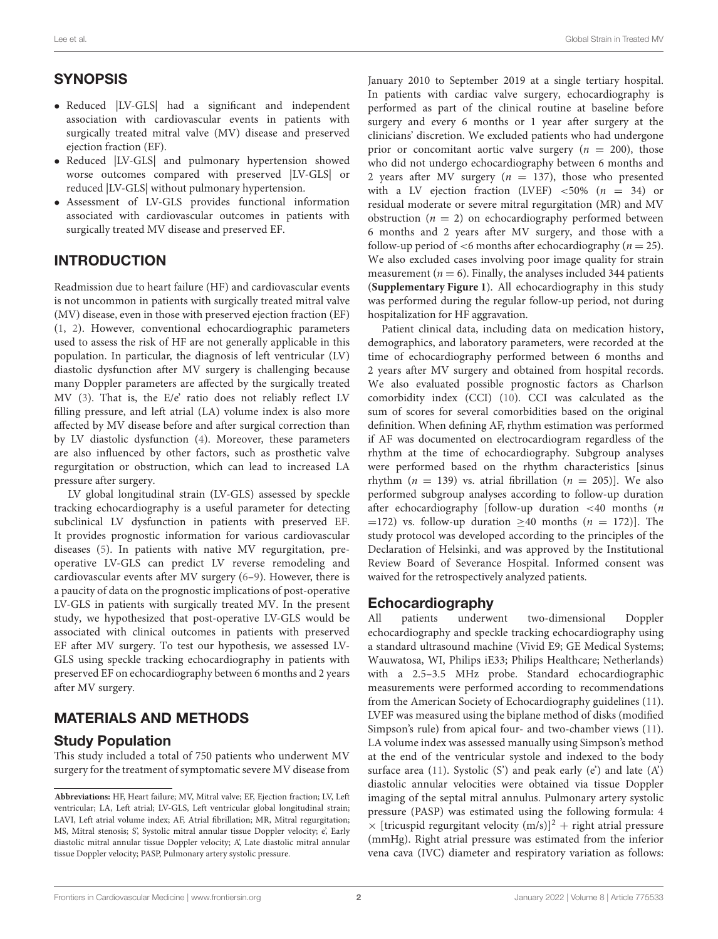# **SYNOPSIS**

- Reduced |LV-GLS| had a significant and independent association with cardiovascular events in patients with surgically treated mitral valve (MV) disease and preserved ejection fraction (EF).
- Reduced |LV-GLS| and pulmonary hypertension showed worse outcomes compared with preserved |LV-GLS| or reduced |LV-GLS| without pulmonary hypertension.
- Assessment of LV-GLS provides functional information associated with cardiovascular outcomes in patients with surgically treated MV disease and preserved EF.

# INTRODUCTION

Readmission due to heart failure (HF) and cardiovascular events is not uncommon in patients with surgically treated mitral valve (MV) disease, even in those with preserved ejection fraction (EF) [\(1,](#page-8-0) [2\)](#page-8-1). However, conventional echocardiographic parameters used to assess the risk of HF are not generally applicable in this population. In particular, the diagnosis of left ventricular (LV) diastolic dysfunction after MV surgery is challenging because many Doppler parameters are affected by the surgically treated MV [\(3\)](#page-8-2). That is, the E/e' ratio does not reliably reflect LV filling pressure, and left atrial (LA) volume index is also more affected by MV disease before and after surgical correction than by LV diastolic dysfunction [\(4\)](#page-8-3). Moreover, these parameters are also influenced by other factors, such as prosthetic valve regurgitation or obstruction, which can lead to increased LA pressure after surgery.

LV global longitudinal strain (LV-GLS) assessed by speckle tracking echocardiography is a useful parameter for detecting subclinical LV dysfunction in patients with preserved EF. It provides prognostic information for various cardiovascular diseases [\(5\)](#page-8-4). In patients with native MV regurgitation, preoperative LV-GLS can predict LV reverse remodeling and cardiovascular events after MV surgery [\(6–](#page-8-5)[9\)](#page-8-6). However, there is a paucity of data on the prognostic implications of post-operative LV-GLS in patients with surgically treated MV. In the present study, we hypothesized that post-operative LV-GLS would be associated with clinical outcomes in patients with preserved EF after MV surgery. To test our hypothesis, we assessed LV-GLS using speckle tracking echocardiography in patients with preserved EF on echocardiography between 6 months and 2 years after MV surgery.

# MATERIALS AND METHODS

#### Study Population

This study included a total of 750 patients who underwent MV surgery for the treatment of symptomatic severe MV disease from January 2010 to September 2019 at a single tertiary hospital. In patients with cardiac valve surgery, echocardiography is performed as part of the clinical routine at baseline before surgery and every 6 months or 1 year after surgery at the clinicians' discretion. We excluded patients who had undergone prior or concomitant aortic valve surgery ( $n = 200$ ), those who did not undergo echocardiography between 6 months and 2 years after MV surgery ( $n = 137$ ), those who presented with a LV ejection fraction (LVEF)  $\lt 50\%$  (n = 34) or residual moderate or severe mitral regurgitation (MR) and MV obstruction ( $n = 2$ ) on echocardiography performed between 6 months and 2 years after MV surgery, and those with a follow-up period of  $<6$  months after echocardiography ( $n = 25$ ). We also excluded cases involving poor image quality for strain measurement ( $n = 6$ ). Finally, the analyses included 344 patients (**[Supplementary Figure 1](#page-8-7)**). All echocardiography in this study was performed during the regular follow-up period, not during hospitalization for HF aggravation.

Patient clinical data, including data on medication history, demographics, and laboratory parameters, were recorded at the time of echocardiography performed between 6 months and 2 years after MV surgery and obtained from hospital records. We also evaluated possible prognostic factors as Charlson comorbidity index (CCI) [\(10\)](#page-8-8). CCI was calculated as the sum of scores for several comorbidities based on the original definition. When defining AF, rhythm estimation was performed if AF was documented on electrocardiogram regardless of the rhythm at the time of echocardiography. Subgroup analyses were performed based on the rhythm characteristics [sinus rhythm ( $n = 139$ ) vs. atrial fibrillation ( $n = 205$ )]. We also performed subgroup analyses according to follow-up duration after echocardiography [follow-up duration  $\lt$  40 months (*n* =172) vs. follow-up duration  $\geq$ 40 months (*n* = 172)]. The study protocol was developed according to the principles of the Declaration of Helsinki, and was approved by the Institutional Review Board of Severance Hospital. Informed consent was waived for the retrospectively analyzed patients.

#### Echocardiography

All patients underwent two-dimensional Doppler echocardiography and speckle tracking echocardiography using a standard ultrasound machine (Vivid E9; GE Medical Systems; Wauwatosa, WI, Philips iE33; Philips Healthcare; Netherlands) with a 2.5–3.5 MHz probe. Standard echocardiographic measurements were performed according to recommendations from the American Society of Echocardiography guidelines [\(11\)](#page-8-9). LVEF was measured using the biplane method of disks (modified Simpson's rule) from apical four- and two-chamber views [\(11\)](#page-8-9). LA volume index was assessed manually using Simpson's method at the end of the ventricular systole and indexed to the body surface area [\(11\)](#page-8-9). Systolic (S') and peak early (e') and late  $(A')$ diastolic annular velocities were obtained via tissue Doppler imaging of the septal mitral annulus. Pulmonary artery systolic pressure (PASP) was estimated using the following formula: 4  $\times$  [tricuspid regurgitant velocity (m/s)]<sup>2</sup> + right atrial pressure (mmHg). Right atrial pressure was estimated from the inferior vena cava (IVC) diameter and respiratory variation as follows:

**Abbreviations:** HF, Heart failure; MV, Mitral valve; EF, Ejection fraction; LV, Left ventricular; LA, Left atrial; LV-GLS, Left ventricular global longitudinal strain; LAVI, Left atrial volume index; AF, Atrial fibrillation; MR, Mitral regurgitation; MS, Mitral stenosis; S', Systolic mitral annular tissue Doppler velocity; e', Early diastolic mitral annular tissue Doppler velocity; A', Late diastolic mitral annular tissue Doppler velocity; PASP, Pulmonary artery systolic pressure.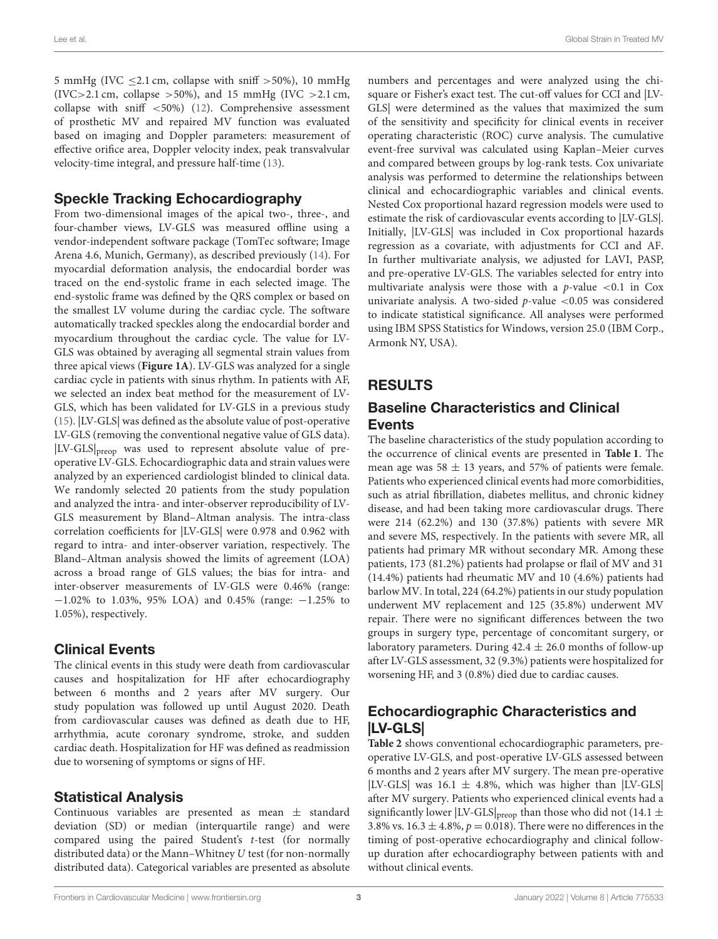5 mmHg (IVC  $\leq$ 2.1 cm, collapse with sniff >50%), 10 mmHg (IVC>2.1 cm, collapse >50%), and 15 mmHg (IVC >2.1 cm, collapse with sniff <50%) [\(12\)](#page-8-10). Comprehensive assessment of prosthetic MV and repaired MV function was evaluated based on imaging and Doppler parameters: measurement of effective orifice area, Doppler velocity index, peak transvalvular velocity-time integral, and pressure half-time [\(13\)](#page-8-11).

#### Speckle Tracking Echocardiography

From two-dimensional images of the apical two-, three-, and four-chamber views, LV-GLS was measured offline using a vendor-independent software package (TomTec software; Image Arena 4.6, Munich, Germany), as described previously [\(14\)](#page-8-12). For myocardial deformation analysis, the endocardial border was traced on the end-systolic frame in each selected image. The end-systolic frame was defined by the QRS complex or based on the smallest LV volume during the cardiac cycle. The software automatically tracked speckles along the endocardial border and myocardium throughout the cardiac cycle. The value for LV-GLS was obtained by averaging all segmental strain values from three apical views (**[Figure 1A](#page-4-0)**). LV-GLS was analyzed for a single cardiac cycle in patients with sinus rhythm. In patients with AF, we selected an index beat method for the measurement of LV-GLS, which has been validated for LV-GLS in a previous study [\(15\)](#page-8-13). |LV-GLS| was defined as the absolute value of post-operative LV-GLS (removing the conventional negative value of GLS data). |LV-GLS|preop was used to represent absolute value of preoperative LV-GLS. Echocardiographic data and strain values were analyzed by an experienced cardiologist blinded to clinical data. We randomly selected 20 patients from the study population and analyzed the intra- and inter-observer reproducibility of LV-GLS measurement by Bland–Altman analysis. The intra-class correlation coefficients for |LV-GLS| were 0.978 and 0.962 with regard to intra- and inter-observer variation, respectively. The Bland–Altman analysis showed the limits of agreement (LOA) across a broad range of GLS values; the bias for intra- and inter-observer measurements of LV-GLS were 0.46% (range: −1.02% to 1.03%, 95% LOA) and 0.45% (range: −1.25% to 1.05%), respectively.

#### Clinical Events

The clinical events in this study were death from cardiovascular causes and hospitalization for HF after echocardiography between 6 months and 2 years after MV surgery. Our study population was followed up until August 2020. Death from cardiovascular causes was defined as death due to HF, arrhythmia, acute coronary syndrome, stroke, and sudden cardiac death. Hospitalization for HF was defined as readmission due to worsening of symptoms or signs of HF.

# Statistical Analysis

Continuous variables are presented as mean  $\pm$  standard deviation (SD) or median (interquartile range) and were compared using the paired Student's t-test (for normally distributed data) or the Mann–Whitney U test (for non-normally distributed data). Categorical variables are presented as absolute numbers and percentages and were analyzed using the chisquare or Fisher's exact test. The cut-off values for CCI and |LV-GLS| were determined as the values that maximized the sum of the sensitivity and specificity for clinical events in receiver operating characteristic (ROC) curve analysis. The cumulative event-free survival was calculated using Kaplan–Meier curves and compared between groups by log-rank tests. Cox univariate analysis was performed to determine the relationships between clinical and echocardiographic variables and clinical events. Nested Cox proportional hazard regression models were used to estimate the risk of cardiovascular events according to |LV-GLS|. Initially, |LV-GLS| was included in Cox proportional hazards regression as a covariate, with adjustments for CCI and AF. In further multivariate analysis, we adjusted for LAVI, PASP, and pre-operative LV-GLS. The variables selected for entry into multivariate analysis were those with a  $p$ -value <0.1 in Cox univariate analysis. A two-sided  $p$ -value <0.05 was considered to indicate statistical significance. All analyses were performed using IBM SPSS Statistics for Windows, version 25.0 (IBM Corp., Armonk NY, USA).

# RESULTS

## Baseline Characteristics and Clinical Events

The baseline characteristics of the study population according to the occurrence of clinical events are presented in **[Table 1](#page-3-0)**. The mean age was 58  $\pm$  13 years, and 57% of patients were female. Patients who experienced clinical events had more comorbidities, such as atrial fibrillation, diabetes mellitus, and chronic kidney disease, and had been taking more cardiovascular drugs. There were 214 (62.2%) and 130 (37.8%) patients with severe MR and severe MS, respectively. In the patients with severe MR, all patients had primary MR without secondary MR. Among these patients, 173 (81.2%) patients had prolapse or flail of MV and 31 (14.4%) patients had rheumatic MV and 10 (4.6%) patients had barlow MV. In total, 224 (64.2%) patients in our study population underwent MV replacement and 125 (35.8%) underwent MV repair. There were no significant differences between the two groups in surgery type, percentage of concomitant surgery, or laboratory parameters. During  $42.4 \pm 26.0$  months of follow-up after LV-GLS assessment, 32 (9.3%) patients were hospitalized for worsening HF, and 3 (0.8%) died due to cardiac causes.

# Echocardiographic Characteristics and |LV-GLS|

**[Table 2](#page-3-1)** shows conventional echocardiographic parameters, preoperative LV-GLS, and post-operative LV-GLS assessed between 6 months and 2 years after MV surgery. The mean pre-operative |LV-GLS| was 16.1  $\pm$  4.8%, which was higher than |LV-GLS| after MV surgery. Patients who experienced clinical events had a significantly lower  $|LV\text{-GLS}|_{\text{preop}}$  than those who did not (14.1  $\pm$ 3.8% vs. 16.3  $\pm$  4.8%,  $p$  = 0.018). There were no differences in the timing of post-operative echocardiography and clinical followup duration after echocardiography between patients with and without clinical events.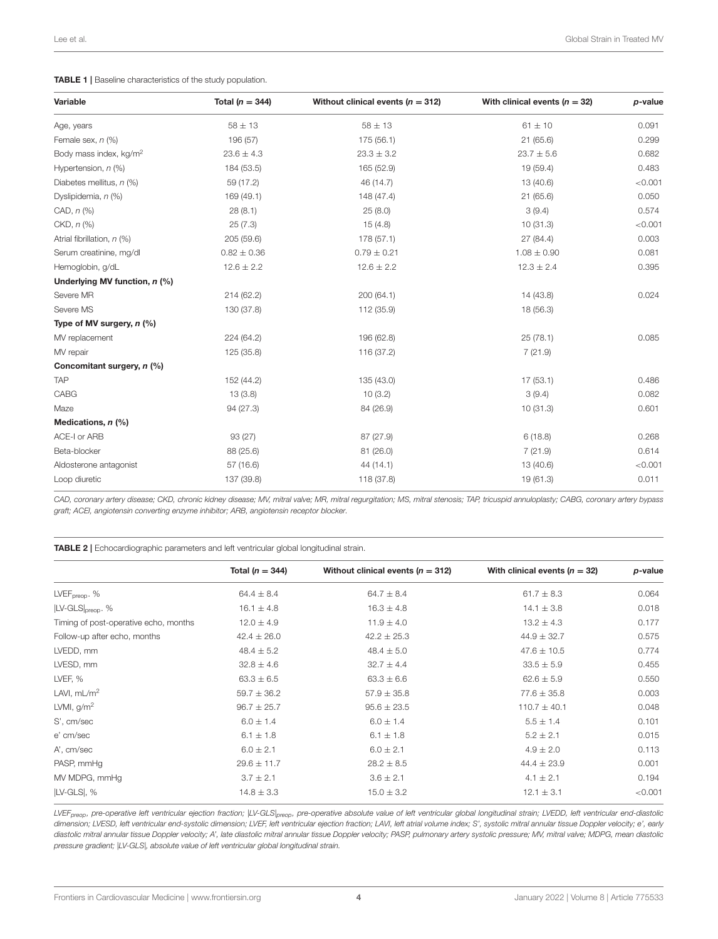#### <span id="page-3-0"></span>TABLE 1 | Baseline characteristics of the study population.

| Variable                           | Total ( $n = 344$ ) | Without clinical events ( $n = 312$ ) | With clinical events ( $n = 32$ ) | p-value |  |
|------------------------------------|---------------------|---------------------------------------|-----------------------------------|---------|--|
| Age, years                         | $58 \pm 13$         | $58 \pm 13$                           | $61 \pm 10$                       | 0.091   |  |
| Female sex, $n$ (%)                | 196 (57)            | 175 (56.1)                            | 21(65.6)                          | 0.299   |  |
| Body mass index, kg/m <sup>2</sup> | $23.6 \pm 4.3$      | $23.3 \pm 3.2$                        | $23.7 \pm 5.6$                    | 0.682   |  |
| Hypertension, $n$ (%)              | 184 (53.5)          | 165 (52.9)                            | 19 (59.4)                         | 0.483   |  |
| Diabetes mellitus, n (%)           | 59 (17.2)           | 46 (14.7)                             | 13 (40.6)                         | < 0.001 |  |
| Dyslipidemia, n (%)                | 169 (49.1)          | 148 (47.4)                            | 21(65.6)                          | 0.050   |  |
| CAD, $n$ $%$                       | 28(8.1)             | 25(8.0)                               | 3(9.4)                            | 0.574   |  |
| $CKD, n$ $(\%)$                    | 25(7.3)             | 15(4.8)                               | 10(31.3)                          | < 0.001 |  |
| Atrial fibrillation, n (%)         | 205 (59.6)          | 178 (57.1)                            | 27 (84.4)                         | 0.003   |  |
| Serum creatinine, mg/dl            | $0.82 \pm 0.36$     | $0.79 \pm 0.21$                       | $1.08 \pm 0.90$                   | 0.081   |  |
| Hemoglobin, g/dL                   | $12.6 \pm 2.2$      | $12.6 \pm 2.2$                        | $12.3 \pm 2.4$                    | 0.395   |  |
| Underlying MV function, n (%)      |                     |                                       |                                   |         |  |
| Severe MR                          | 214 (62.2)          | 200 (64.1)                            | 14 (43.8)                         | 0.024   |  |
| Severe MS                          | 130 (37.8)          | 112 (35.9)                            | 18 (56.3)                         |         |  |
| Type of MV surgery, $n$ (%)        |                     |                                       |                                   |         |  |
| MV replacement                     | 224 (64.2)          | 196 (62.8)                            | 25(78.1)                          | 0.085   |  |
| MV repair                          | 125 (35.8)          | 116 (37.2)                            | 7(21.9)                           |         |  |
| Concomitant surgery, n (%)         |                     |                                       |                                   |         |  |
| <b>TAP</b>                         | 152 (44.2)          | 135 (43.0)                            | 17(53.1)                          | 0.486   |  |
| CABG                               | 13(3.8)             | 10(3.2)                               | 3(9.4)                            | 0.082   |  |
| Maze                               | 94 (27.3)           | 84 (26.9)                             | 10(31.3)                          | 0.601   |  |
| Medications, $n$ (%)               |                     |                                       |                                   |         |  |
| ACE-I or ARB                       | 93 (27)             | 87 (27.9)                             | 6(18.8)                           | 0.268   |  |
| Beta-blocker                       | 88 (25.6)           | 81 (26.0)                             | 7(21.9)                           | 0.614   |  |
| Aldosterone antagonist             | 57 (16.6)           | 44(14.1)                              | 13 (40.6)                         | < 0.001 |  |
| Loop diuretic                      | 137 (39.8)          | 118 (37.8)                            | 19 (61.3)                         | 0.011   |  |

CAD, coronary artery disease; CKD, chronic kidney disease; MV, mitral valve; MR, mitral regurgitation; MS, mitral stenosis; TAP, tricuspid annuloplasty; CABG, coronary artery bypass graft; ACEI, angiotensin converting enzyme inhibitor; ARB, angiotensin receptor blocker.

<span id="page-3-1"></span>

|                                       | Total ( $n = 344$ ) | Without clinical events ( $n = 312$ ) | With clinical events ( $n = 32$ ) | p-value |
|---------------------------------------|---------------------|---------------------------------------|-----------------------------------|---------|
| $LVEF_{preop}$ . %                    | $64.4 \pm 8.4$      | $64.7 \pm 8.4$                        | $61.7 \pm 8.3$                    | 0.064   |
| $ LV\text{-}GLS _{\text{preon}}$ . %  | $16.1 \pm 4.8$      | $16.3 \pm 4.8$                        | $14.1 \pm 3.8$                    | 0.018   |
| Timing of post-operative echo, months | $12.0 \pm 4.9$      | $11.9 \pm 4.0$                        | $13.2 \pm 4.3$                    | 0.177   |
| Follow-up after echo, months          | $42.4 \pm 26.0$     | $42.2 \pm 25.3$                       | $44.9 \pm 32.7$                   | 0.575   |
| LVEDD, mm                             | $48.4 \pm 5.2$      | $48.4 \pm 5.0$                        | $47.6 \pm 10.5$                   | 0.774   |
| LVESD, mm                             | $32.8 \pm 4.6$      | $32.7 \pm 4.4$                        | $33.5 \pm 5.9$                    | 0.455   |
| LVEF, %                               | $63.3 \pm 6.5$      | $63.3 \pm 6.6$                        | $62.6 \pm 5.9$                    | 0.550   |
| LAVI, $mL/m2$                         | $59.7 \pm 36.2$     | $57.9 \pm 35.8$                       | $77.6 \pm 35.8$                   | 0.003   |
| LVMI, $g/m^2$                         | $96.7 \pm 25.7$     | $95.6 \pm 23.5$                       | $110.7 \pm 40.1$                  | 0.048   |
| S', cm/sec                            | $6.0 \pm 1.4$       | $6.0 \pm 1.4$                         | $5.5 \pm 1.4$                     | 0.101   |
| e' cm/sec                             | $6.1 \pm 1.8$       | $6.1 \pm 1.8$                         | $5.2 \pm 2.1$                     | 0.015   |
| A', cm/sec                            | $6.0 \pm 2.1$       | $6.0 \pm 2.1$                         | $4.9 \pm 2.0$                     | 0.113   |
| PASP, mmHq                            | $29.6 \pm 11.7$     | $28.2 \pm 8.5$                        | $44.4 \pm 23.9$                   | 0.001   |
| MV MDPG, mmHg                         | $3.7 \pm 2.1$       | $3.6 \pm 2.1$                         | $4.1 \pm 2.1$                     | 0.194   |
| $ LV\text{-GLS} , %$                  | $14.8 \pm 3.3$      | $15.0 \pm 3.2$                        | $12.1 \pm 3.1$                    | < 0.001 |
|                                       |                     |                                       |                                   |         |

LVEF<sub>preop</sub>, pre-operative left ventricular ejection fraction; LLV-GLS|<sub>preop</sub>, pre-operative absolute value of left ventricular global longitudinal strain; LVEDD, left ventricular end-diastolic dimension; LVESD, left ventricular end-systolic dimension; LVEF, left ventricular ejection fraction; LAVI, left atrial volume index; S', systolic mitral annular tissue Doppler velocity; e', early diastolic mitral annular tissue Doppler velocity; A', late diastolic mitral annular tissue Doppler velocity; PASP, pulmonary artery systolic pressure; MV, mitral valve; MDPG, mean diastolic pressure gradient; |LV-GLS|, absolute value of left ventricular global longitudinal strain.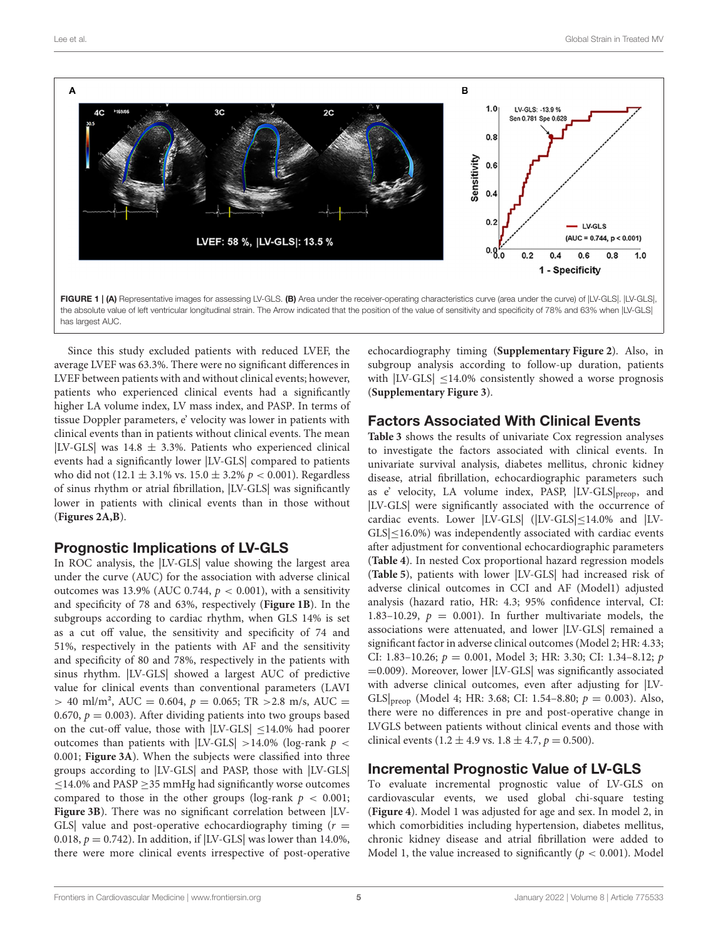

<span id="page-4-0"></span>FIGURE 1 | (A) Representative images for assessing LV-GLS. (B) Area under the receiver-operating characteristics curve (area under the curve) of ILV-GLSI. ILV-GLSI. the absolute value of left ventricular longitudinal strain. The Arrow indicated that the position of the value of sensitivity and specificity of 78% and 63% when  $|IV-GLS|$ has largest AUC.

Since this study excluded patients with reduced LVEF, the average LVEF was 63.3%. There were no significant differences in LVEF between patients with and without clinical events; however, patients who experienced clinical events had a significantly higher LA volume index, LV mass index, and PASP. In terms of tissue Doppler parameters, e' velocity was lower in patients with clinical events than in patients without clinical events. The mean |LV-GLS| was  $14.8 \pm 3.3\%$ . Patients who experienced clinical events had a significantly lower |LV-GLS| compared to patients who did not (12.1  $\pm$  3.1% vs. 15.0  $\pm$  3.2%  $p < 0.001$ ). Regardless of sinus rhythm or atrial fibrillation, |LV-GLS| was significantly lower in patients with clinical events than in those without (**[Figures 2A,B](#page-5-0)**).

#### Prognostic Implications of LV-GLS

In ROC analysis, the |LV-GLS| value showing the largest area under the curve (AUC) for the association with adverse clinical outcomes was 13.9% (AUC 0.744,  $p < 0.001$ ), with a sensitivity and specificity of 78 and 63%, respectively (**[Figure 1B](#page-4-0)**). In the subgroups according to cardiac rhythm, when GLS 14% is set as a cut off value, the sensitivity and specificity of 74 and 51%, respectively in the patients with AF and the sensitivity and specificity of 80 and 78%, respectively in the patients with sinus rhythm. |LV-GLS| showed a largest AUC of predictive value for clinical events than conventional parameters (LAVI  $> 40$  ml/m<sup>2</sup>, AUC = 0.604,  $p = 0.065$ ; TR  $> 2.8$  m/s, AUC = 0.670,  $p = 0.003$ ). After dividing patients into two groups based on the cut-off value, those with |LV-GLS| ≤14.0% had poorer outcomes than patients with  $|LV\text{-GLS}| > 14.0\%$  (log-rank  $p <$ 0.001; **[Figure 3A](#page-5-1)**). When the subjects were classified into three groups according to |LV-GLS| and PASP, those with |LV-GLS|  $\leq$ 14.0% and PASP  $\geq$ 35 mmHg had significantly worse outcomes compared to those in the other groups (log-rank  $p < 0.001$ ; **[Figure 3B](#page-5-1)**). There was no significant correlation between |LV-GLS value and post-operative echocardiography timing  $(r =$ 0.018,  $p = 0.742$ ). In addition, if  $|LV\text{-GLS}|$  was lower than 14.0%, there were more clinical events irrespective of post-operative echocardiography timing (**[Supplementary Figure 2](#page-8-7)**). Also, in subgroup analysis according to follow-up duration, patients with  $|LV\text{-GLS}| \leq 14.0\%$  consistently showed a worse prognosis (**[Supplementary Figure 3](#page-8-7)**).

#### Factors Associated With Clinical Events

**[Table 3](#page-6-0)** shows the results of univariate Cox regression analyses to investigate the factors associated with clinical events. In univariate survival analysis, diabetes mellitus, chronic kidney disease, atrial fibrillation, echocardiographic parameters such as e' velocity, LA volume index, PASP, |LV-GLS|preop, and |LV-GLS| were significantly associated with the occurrence of cardiac events. Lower |LV-GLS| (|LV-GLS|≤14.0% and |LV-GLS|≤16.0%) was independently associated with cardiac events after adjustment for conventional echocardiographic parameters (**[Table 4](#page-6-1)**). In nested Cox proportional hazard regression models (**[Table 5](#page-7-0)**), patients with lower |LV-GLS| had increased risk of adverse clinical outcomes in CCI and AF (Model1) adjusted analysis (hazard ratio, HR: 4.3; 95% confidence interval, CI: 1.83–10.29,  $p = 0.001$ ). In further multivariate models, the associations were attenuated, and lower |LV-GLS| remained a significant factor in adverse clinical outcomes (Model 2; HR: 4.33; CI: 1.83-10.26;  $p = 0.001$ , Model 3; HR: 3.30; CI: 1.34-8.12; p =0.009). Moreover, lower |LV-GLS| was significantly associated with adverse clinical outcomes, even after adjusting for |LV-GLS $|_{\text{preop}}$  (Model 4; HR: 3.68; CI: 1.54–8.80;  $p = 0.003$ ). Also, there were no differences in pre and post-operative change in LVGLS between patients without clinical events and those with clinical events (1.2  $\pm$  4.9 vs. 1.8  $\pm$  4.7,  $p = 0.500$ ).

#### Incremental Prognostic Value of LV-GLS

To evaluate incremental prognostic value of LV-GLS on cardiovascular events, we used global chi-square testing (**[Figure 4](#page-7-1)**). Model 1 was adjusted for age and sex. In model 2, in which comorbidities including hypertension, diabetes mellitus, chronic kidney disease and atrial fibrillation were added to Model 1, the value increased to significantly ( $p < 0.001$ ). Model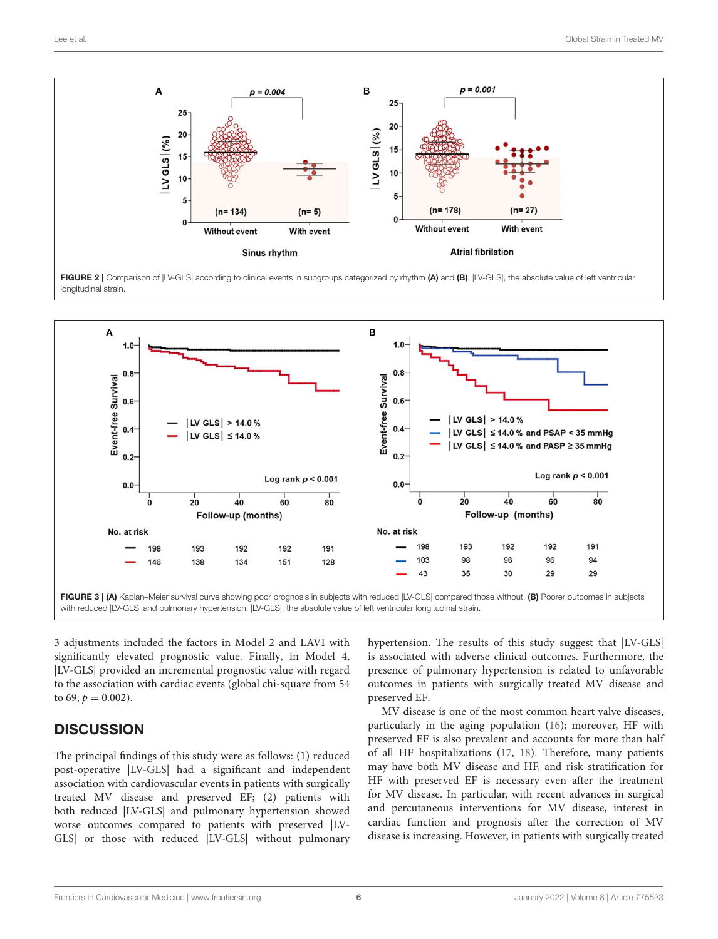

<span id="page-5-0"></span>FIGURE 2 | Comparison of |LV-GLS| according to clinical events in subgroups categorized by rhythm (A) and (B). |LV-GLS|, the absolute value of left ventricular longitudinal strain.



<span id="page-5-1"></span>3 adjustments included the factors in Model 2 and LAVI with significantly elevated prognostic value. Finally, in Model 4, |LV-GLS| provided an incremental prognostic value with regard to the association with cardiac events (global chi-square from 54 to 69;  $p = 0.002$ ).

# **DISCUSSION**

The principal findings of this study were as follows: (1) reduced post-operative |LV-GLS| had a significant and independent association with cardiovascular events in patients with surgically treated MV disease and preserved EF; (2) patients with both reduced |LV-GLS| and pulmonary hypertension showed worse outcomes compared to patients with preserved |LV-GLS| or those with reduced |LV-GLS| without pulmonary hypertension. The results of this study suggest that |LV-GLS| is associated with adverse clinical outcomes. Furthermore, the presence of pulmonary hypertension is related to unfavorable outcomes in patients with surgically treated MV disease and preserved EF.

MV disease is one of the most common heart valve diseases, particularly in the aging population [\(16\)](#page-8-14); moreover, HF with preserved EF is also prevalent and accounts for more than half of all HF hospitalizations [\(17,](#page-8-15) [18\)](#page-8-16). Therefore, many patients may have both MV disease and HF, and risk stratification for HF with preserved EF is necessary even after the treatment for MV disease. In particular, with recent advances in surgical and percutaneous interventions for MV disease, interest in cardiac function and prognosis after the correction of MV disease is increasing. However, in patients with surgically treated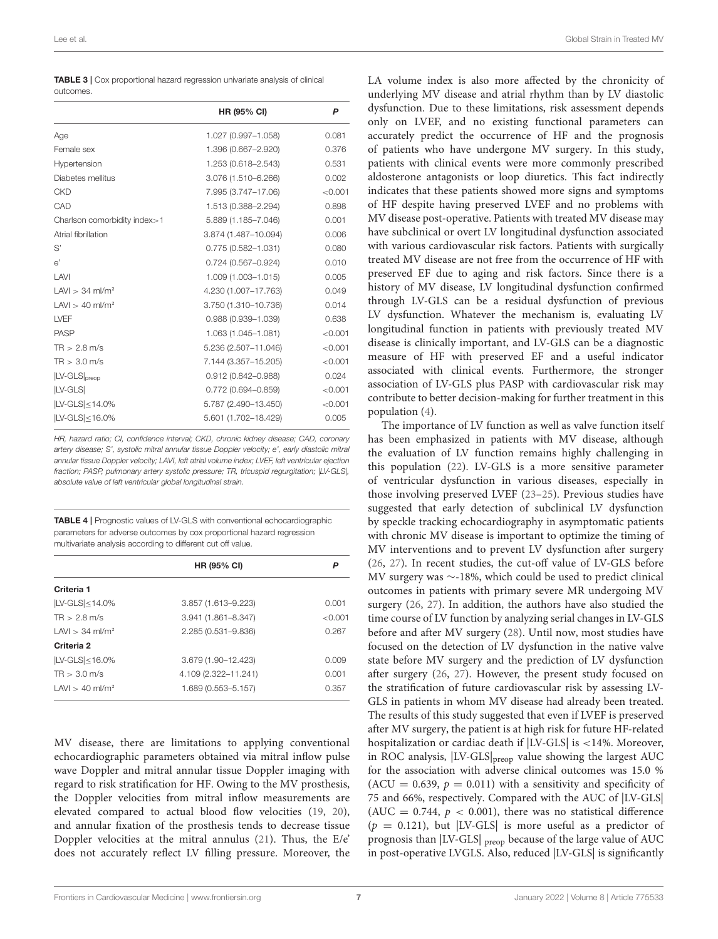<span id="page-6-0"></span>

| <b>TABLE 3</b>   Cox proportional hazard regression univariate analysis of clinical |  |
|-------------------------------------------------------------------------------------|--|
| outcomes.                                                                           |  |

|                               | HR (95% CI)            | P       |
|-------------------------------|------------------------|---------|
| Age                           | 1.027 (0.997-1.058)    | 0.081   |
| Female sex                    | 1.396 (0.667-2.920)    | 0.376   |
| Hypertension                  | 1.253 (0.618-2.543)    | 0.531   |
| Diabetes mellitus             | 3.076 (1.510-6.266)    | 0.002   |
| <b>CKD</b>                    | 7.995 (3.747-17.06)    | < 0.001 |
| CAD                           | 1.513 (0.388-2.294)    | 0.898   |
| Charlson comorbidity index>1  | 5.889 (1.185-7.046)    | 0.001   |
| Atrial fibrillation           | 3.874 (1.487-10.094)   | 0.006   |
| S'                            | $0.775(0.582 - 1.031)$ | 0.080   |
| e'                            | $0.724(0.567 - 0.924)$ | 0.010   |
| LAVI                          | 1.009 (1.003-1.015)    | 0.005   |
| $LAVl > 34$ ml/m <sup>2</sup> | 4.230 (1.007-17.763)   | 0.049   |
| $LAVl > 40$ ml/m <sup>2</sup> | 3.750 (1.310-10.736)   | 0.014   |
| LVEF                          | $0.988(0.939 - 1.039)$ | 0.638   |
| <b>PASP</b>                   | 1.063 (1.045-1.081)    | < 0.001 |
| $TR > 2.8$ m/s                | 5.236 (2.507-11.046)   | < 0.001 |
| $TR > 3.0$ m/s                | 7.144 (3.357-15.205)   | < 0.001 |
| LV-GLS preop                  | $0.912(0.842 - 0.988)$ | 0.024   |
| <b>ILV-GLSI</b>               | $0.772(0.694 - 0.859)$ | < 0.001 |
| $ LV\text{-}GLS \leq 14.0\%$  | 5.787 (2.490-13.450)   | < 0.001 |
| $ LV\text{-}GLS \leq 16.0\%$  | 5.601 (1.702-18.429)   | 0.005   |

HR, hazard ratio; CI, confidence interval; CKD, chronic kidney disease; CAD, coronary artery disease; S', systolic mitral annular tissue Doppler velocity; e', early diastolic mitral annular tissue Doppler velocity; LAVI, left atrial volume index; LVEF, left ventricular ejection fraction; PASP, pulmonary artery systolic pressure; TR, tricuspid regurgitation; |LV-GLS|, absolute value of left ventricular global longitudinal strain.

<span id="page-6-1"></span>TABLE 4 | Prognostic values of LV-GLS with conventional echocardiographic parameters for adverse outcomes by cox proportional hazard regression multivariate analysis according to different cut off value.

|                               | <b>HR (95% CI)</b>     | P       |  |
|-------------------------------|------------------------|---------|--|
| Criteria 1                    |                        |         |  |
| $ LV-GLS  < 14.0\%$           | 3.857 (1.613-9.223)    | 0.001   |  |
| $TR > 2.8$ m/s                | $3.941(1.861 - 8.347)$ | < 0.001 |  |
| $LAVl > 34$ ml/m <sup>2</sup> | 2.285 (0.531-9.836)    | 0.267   |  |
| Criteria 2                    |                        |         |  |
| $ LV-GLS <$ 16.0%             | 3.679 (1.90-12.423)    | 0.009   |  |
| $TR > 3.0$ m/s                | 4.109 (2.322-11.241)   | 0.001   |  |
| $LAVl > 40$ ml/m <sup>2</sup> | 1.689 (0.553-5.157)    | 0.357   |  |

MV disease, there are limitations to applying conventional echocardiographic parameters obtained via mitral inflow pulse wave Doppler and mitral annular tissue Doppler imaging with regard to risk stratification for HF. Owing to the MV prosthesis, the Doppler velocities from mitral inflow measurements are elevated compared to actual blood flow velocities [\(19,](#page-8-17) [20\)](#page-8-18), and annular fixation of the prosthesis tends to decrease tissue Doppler velocities at the mitral annulus [\(21\)](#page-9-0). Thus, the E/e' does not accurately reflect LV filling pressure. Moreover, the

LA volume index is also more affected by the chronicity of underlying MV disease and atrial rhythm than by LV diastolic dysfunction. Due to these limitations, risk assessment depends only on LVEF, and no existing functional parameters can accurately predict the occurrence of HF and the prognosis of patients who have undergone MV surgery. In this study, patients with clinical events were more commonly prescribed aldosterone antagonists or loop diuretics. This fact indirectly indicates that these patients showed more signs and symptoms of HF despite having preserved LVEF and no problems with MV disease post-operative. Patients with treated MV disease may have subclinical or overt LV longitudinal dysfunction associated with various cardiovascular risk factors. Patients with surgically treated MV disease are not free from the occurrence of HF with preserved EF due to aging and risk factors. Since there is a history of MV disease, LV longitudinal dysfunction confirmed through LV-GLS can be a residual dysfunction of previous LV dysfunction. Whatever the mechanism is, evaluating LV longitudinal function in patients with previously treated MV disease is clinically important, and LV-GLS can be a diagnostic measure of HF with preserved EF and a useful indicator associated with clinical events. Furthermore, the stronger association of LV-GLS plus PASP with cardiovascular risk may contribute to better decision-making for further treatment in this population [\(4\)](#page-8-3).

The importance of LV function as well as valve function itself has been emphasized in patients with MV disease, although the evaluation of LV function remains highly challenging in this population [\(22\)](#page-9-1). LV-GLS is a more sensitive parameter of ventricular dysfunction in various diseases, especially in those involving preserved LVEF [\(23–](#page-9-2)[25\)](#page-9-3). Previous studies have suggested that early detection of subclinical LV dysfunction by speckle tracking echocardiography in asymptomatic patients with chronic MV disease is important to optimize the timing of MV interventions and to prevent LV dysfunction after surgery [\(26,](#page-9-4) [27\)](#page-9-5). In recent studies, the cut-off value of LV-GLS before MV surgery was ∼-18%, which could be used to predict clinical outcomes in patients with primary severe MR undergoing MV surgery [\(26,](#page-9-4) [27\)](#page-9-5). In addition, the authors have also studied the time course of LV function by analyzing serial changes in LV-GLS before and after MV surgery [\(28\)](#page-9-6). Until now, most studies have focused on the detection of LV dysfunction in the native valve state before MV surgery and the prediction of LV dysfunction after surgery [\(26,](#page-9-4) [27\)](#page-9-5). However, the present study focused on the stratification of future cardiovascular risk by assessing LV-GLS in patients in whom MV disease had already been treated. The results of this study suggested that even if LVEF is preserved after MV surgery, the patient is at high risk for future HF-related hospitalization or cardiac death if |LV-GLS| is <14%. Moreover, in ROC analysis, |LV-GLS|preop value showing the largest AUC for the association with adverse clinical outcomes was 15.0 % (ACU = 0.639,  $p = 0.011$ ) with a sensitivity and specificity of 75 and 66%, respectively. Compared with the AUC of |LV-GLS| (AUC = 0.744,  $p < 0.001$ ), there was no statistical difference  $(p = 0.121)$ , but |LV-GLS| is more useful as a predictor of prognosis than |LV-GLS| preop because of the large value of AUC in post-operative LVGLS. Also, reduced |LV-GLS| is significantly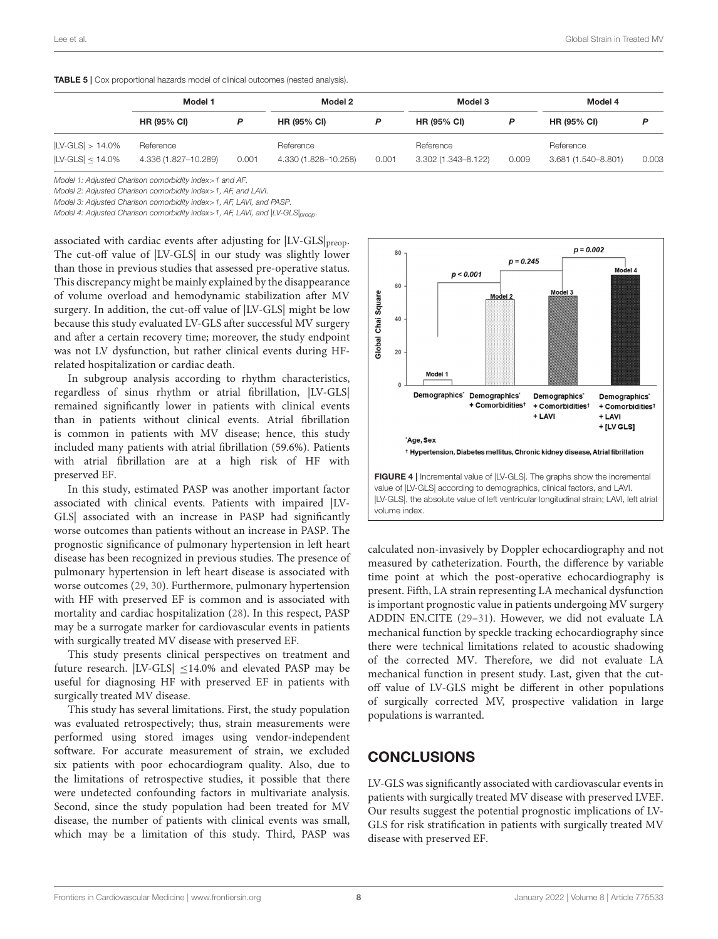<span id="page-7-0"></span>

|                               | Model 1              |       | Model 2              |       | Model 3             |       | Model 4             |       |
|-------------------------------|----------------------|-------|----------------------|-------|---------------------|-------|---------------------|-------|
|                               | <b>HR (95% CI)</b>   |       | <b>HR (95% CI)</b>   | Р     | <b>HR (95% CI)</b>  |       | <b>HR (95% CI)</b>  |       |
| $ LV\text{-GLS}  > 14.0\%$    | Reference            |       | Reference            |       | Reference           |       | Reference           |       |
| $ LV\text{-GLS}  \leq 14.0\%$ | 4.336 (1.827-10.289) | 0.001 | 4.330 (1.828-10.258) | 0.001 | 3.302 (1.343-8.122) | 0.009 | 3.681 (1.540-8.801) | 0.003 |

Model 1: Adjusted Charlson comorbidity index>1 and AF.

Model 2: Adjusted Charlson comorbidity index>1, AF, and LAVI.

Model 3: Adjusted Charlson comorbidity index>1, AF, LAVI, and PASP.

Model 4: Adjusted Charlson comorbidity index>1, AF, LAVI, and |LV-GLS|preop.

associated with cardiac events after adjusting for  $|LV\text{-GLS}|_{\text{preop}}$ . The cut-off value of |LV-GLS| in our study was slightly lower than those in previous studies that assessed pre-operative status. This discrepancy might be mainly explained by the disappearance of volume overload and hemodynamic stabilization after MV surgery. In addition, the cut-off value of |LV-GLS| might be low because this study evaluated LV-GLS after successful MV surgery and after a certain recovery time; moreover, the study endpoint was not LV dysfunction, but rather clinical events during HFrelated hospitalization or cardiac death.

In subgroup analysis according to rhythm characteristics, regardless of sinus rhythm or atrial fibrillation, |LV-GLS| remained significantly lower in patients with clinical events than in patients without clinical events. Atrial fibrillation is common in patients with MV disease; hence, this study included many patients with atrial fibrillation (59.6%). Patients with atrial fibrillation are at a high risk of HF with preserved EF.

In this study, estimated PASP was another important factor associated with clinical events. Patients with impaired |LV-GLS| associated with an increase in PASP had significantly worse outcomes than patients without an increase in PASP. The prognostic significance of pulmonary hypertension in left heart disease has been recognized in previous studies. The presence of pulmonary hypertension in left heart disease is associated with worse outcomes [\(29,](#page-9-7) [30\)](#page-9-8). Furthermore, pulmonary hypertension with HF with preserved EF is common and is associated with mortality and cardiac hospitalization [\(28\)](#page-9-6). In this respect, PASP may be a surrogate marker for cardiovascular events in patients with surgically treated MV disease with preserved EF.

This study presents clinical perspectives on treatment and future research.  $|LV\text{-GLS}| \leq 14.0\%$  and elevated PASP may be useful for diagnosing HF with preserved EF in patients with surgically treated MV disease.

This study has several limitations. First, the study population was evaluated retrospectively; thus, strain measurements were performed using stored images using vendor-independent software. For accurate measurement of strain, we excluded six patients with poor echocardiogram quality. Also, due to the limitations of retrospective studies, it possible that there were undetected confounding factors in multivariate analysis. Second, since the study population had been treated for MV disease, the number of patients with clinical events was small, which may be a limitation of this study. Third, PASP was



<span id="page-7-1"></span>calculated non-invasively by Doppler echocardiography and not measured by catheterization. Fourth, the difference by variable time point at which the post-operative echocardiography is present. Fifth, LA strain representing LA mechanical dysfunction is important prognostic value in patients undergoing MV surgery ADDIN EN.CITE [\(29–](#page-9-7)[31\)](#page-9-9). However, we did not evaluate LA mechanical function by speckle tracking echocardiography since there were technical limitations related to acoustic shadowing of the corrected MV. Therefore, we did not evaluate LA mechanical function in present study. Last, given that the cutoff value of LV-GLS might be different in other populations of surgically corrected MV, prospective validation in large populations is warranted.

# **CONCLUSIONS**

LV-GLS was significantly associated with cardiovascular events in patients with surgically treated MV disease with preserved LVEF. Our results suggest the potential prognostic implications of LV-GLS for risk stratification in patients with surgically treated MV disease with preserved EF.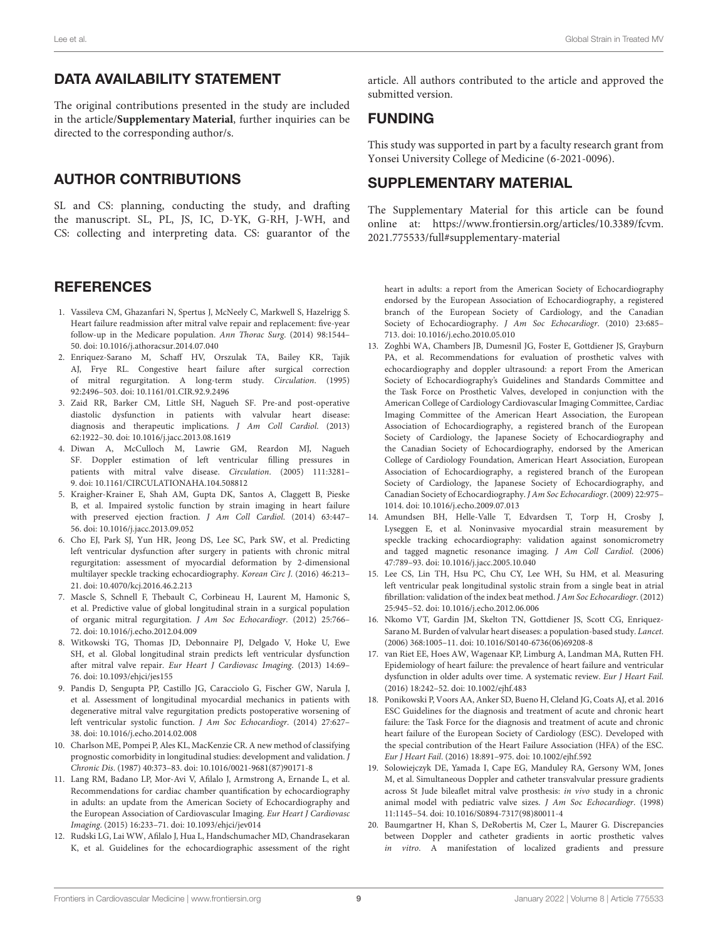# DATA AVAILABILITY STATEMENT

The original contributions presented in the study are included in the article/**[Supplementary Material](#page-8-7)**, further inquiries can be directed to the corresponding author/s.

# AUTHOR CONTRIBUTIONS

SL and CS: planning, conducting the study, and drafting the manuscript. SL, PL, JS, IC, D-YK, G-RH, J-WH, and CS: collecting and interpreting data. CS: guarantor of the

#### **REFERENCES**

- <span id="page-8-0"></span>1. Vassileva CM, Ghazanfari N, Spertus J, McNeely C, Markwell S, Hazelrigg S. Heart failure readmission after mitral valve repair and replacement: five-year follow-up in the Medicare population. Ann Thorac Surg. (2014) 98:1544– 50. doi: [10.1016/j.athoracsur.2014.07.040](https://doi.org/10.1016/j.athoracsur.2014.07.040)
- <span id="page-8-1"></span>2. Enriquez-Sarano M, Schaff HV, Orszulak TA, Bailey KR, Tajik AJ, Frye RL. Congestive heart failure after surgical correction of mitral regurgitation. A long-term study. Circulation. (1995) 92:2496–503. doi: [10.1161/01.CIR.92.9.2496](https://doi.org/10.1161/01.CIR.92.9.2496)
- <span id="page-8-2"></span>3. Zaid RR, Barker CM, Little SH, Nagueh SF. Pre-and post-operative diastolic dysfunction in patients with valvular heart disease: diagnosis and therapeutic implications. J Am Coll Cardiol. (2013) 62:1922–30. doi: [10.1016/j.jacc.2013.08.1619](https://doi.org/10.1016/j.jacc.2013.08.1619)
- <span id="page-8-3"></span>4. Diwan A, McCulloch M, Lawrie GM, Reardon MJ, Nagueh SF. Doppler estimation of left ventricular filling pressures in patients with mitral valve disease. Circulation. (2005) 111:3281– 9. doi: [10.1161/CIRCULATIONAHA.104.508812](https://doi.org/10.1161/CIRCULATIONAHA.104.508812)
- <span id="page-8-4"></span>5. Kraigher-Krainer E, Shah AM, Gupta DK, Santos A, Claggett B, Pieske B, et al. Impaired systolic function by strain imaging in heart failure with preserved ejection fraction. J Am Coll Cardiol. (2014) 63:447– 56. doi: [10.1016/j.jacc.2013.09.052](https://doi.org/10.1016/j.jacc.2013.09.052)
- <span id="page-8-5"></span>6. Cho EJ, Park SJ, Yun HR, Jeong DS, Lee SC, Park SW, et al. Predicting left ventricular dysfunction after surgery in patients with chronic mitral regurgitation: assessment of myocardial deformation by 2-dimensional multilayer speckle tracking echocardiography. Korean Circ J. (2016) 46:213– 21. doi: [10.4070/kcj.2016.46.2.213](https://doi.org/10.4070/kcj.2016.46.2.213)
- 7. Mascle S, Schnell F, Thebault C, Corbineau H, Laurent M, Hamonic S, et al. Predictive value of global longitudinal strain in a surgical population of organic mitral regurgitation. J Am Soc Echocardiogr. (2012) 25:766– 72. doi: [10.1016/j.echo.2012.04.009](https://doi.org/10.1016/j.echo.2012.04.009)
- 8. Witkowski TG, Thomas JD, Debonnaire PJ, Delgado V, Hoke U, Ewe SH, et al. Global longitudinal strain predicts left ventricular dysfunction after mitral valve repair. Eur Heart J Cardiovasc Imaging. (2013) 14:69– 76. doi: [10.1093/ehjci/jes155](https://doi.org/10.1093/ehjci/jes155)
- <span id="page-8-6"></span>9. Pandis D, Sengupta PP, Castillo JG, Caracciolo G, Fischer GW, Narula J, et al. Assessment of longitudinal myocardial mechanics in patients with degenerative mitral valve regurgitation predicts postoperative worsening of left ventricular systolic function. J Am Soc Echocardiogr. (2014) 27:627– 38. doi: [10.1016/j.echo.2014.02.008](https://doi.org/10.1016/j.echo.2014.02.008)
- <span id="page-8-8"></span>10. Charlson ME, Pompei P, Ales KL, MacKenzie CR. A new method of classifying prognostic comorbidity in longitudinal studies: development and validation. J Chronic Dis. (1987) 40:373–83. doi: [10.1016/0021-9681\(87\)90171-8](https://doi.org/10.1016/0021-9681(87)90171-8)
- <span id="page-8-9"></span>11. Lang RM, Badano LP, Mor-Avi V, Afilalo J, Armstrong A, Ernande L, et al. Recommendations for cardiac chamber quantification by echocardiography in adults: an update from the American Society of Echocardiography and the European Association of Cardiovascular Imaging. Eur Heart J Cardiovasc Imaging. (2015) 16:233–71. doi: [10.1093/ehjci/jev014](https://doi.org/10.1093/ehjci/jev014)
- <span id="page-8-10"></span>12. Rudski LG, Lai WW, Afilalo J, Hua L, Handschumacher MD, Chandrasekaran K, et al. Guidelines for the echocardiographic assessment of the right

article. All authors contributed to the article and approved the submitted version.

## FUNDING

This study was supported in part by a faculty research grant from Yonsei University College of Medicine (6-2021-0096).

## SUPPLEMENTARY MATERIAL

<span id="page-8-7"></span>The Supplementary Material for this article can be found [online at: https://www.frontiersin.org/articles/10.3389/fcvm.](https://www.frontiersin.org/articles/10.3389/fcvm.2021.775533/full#supplementary-material) 2021.775533/full#supplementary-material

heart in adults: a report from the American Society of Echocardiography endorsed by the European Association of Echocardiography, a registered branch of the European Society of Cardiology, and the Canadian Society of Echocardiography. J Am Soc Echocardiogr. (2010) 23:685-713. doi: [10.1016/j.echo.2010.05.010](https://doi.org/10.1016/j.echo.2010.05.010)

- <span id="page-8-11"></span>13. Zoghbi WA, Chambers JB, Dumesnil JG, Foster E, Gottdiener JS, Grayburn PA, et al. Recommendations for evaluation of prosthetic valves with echocardiography and doppler ultrasound: a report From the American Society of Echocardiography's Guidelines and Standards Committee and the Task Force on Prosthetic Valves, developed in conjunction with the American College of Cardiology Cardiovascular Imaging Committee, Cardiac Imaging Committee of the American Heart Association, the European Association of Echocardiography, a registered branch of the European Society of Cardiology, the Japanese Society of Echocardiography and the Canadian Society of Echocardiography, endorsed by the American College of Cardiology Foundation, American Heart Association, European Association of Echocardiography, a registered branch of the European Society of Cardiology, the Japanese Society of Echocardiography, and Canadian Society of Echocardiography. J Am Soc Echocardiogr. (2009) 22:975– 1014. doi: [10.1016/j.echo.2009.07.013](https://doi.org/10.1016/j.echo.2009.07.013)
- <span id="page-8-12"></span>14. Amundsen BH, Helle-Valle T, Edvardsen T, Torp H, Crosby J, Lyseggen E, et al. Noninvasive myocardial strain measurement by speckle tracking echocardiography: validation against sonomicrometry and tagged magnetic resonance imaging. J Am Coll Cardiol. (2006) 47:789–93. doi: [10.1016/j.jacc.2005.10.040](https://doi.org/10.1016/j.jacc.2005.10.040)
- <span id="page-8-13"></span>15. Lee CS, Lin TH, Hsu PC, Chu CY, Lee WH, Su HM, et al. Measuring left ventricular peak longitudinal systolic strain from a single beat in atrial fibrillation: validation of the index beat method. J Am Soc Echocardiogr. (2012) 25:945–52. doi: [10.1016/j.echo.2012.06.006](https://doi.org/10.1016/j.echo.2012.06.006)
- <span id="page-8-14"></span>16. Nkomo VT, Gardin JM, Skelton TN, Gottdiener JS, Scott CG, Enriquez-Sarano M. Burden of valvular heart diseases: a population-based study. Lancet. (2006) 368:1005–11. doi: [10.1016/S0140-6736\(06\)69208-8](https://doi.org/10.1016/S0140-6736(06)69208-8)
- <span id="page-8-15"></span>17. van Riet EE, Hoes AW, Wagenaar KP, Limburg A, Landman MA, Rutten FH. Epidemiology of heart failure: the prevalence of heart failure and ventricular dysfunction in older adults over time. A systematic review. Eur J Heart Fail. (2016) 18:242–52. doi: [10.1002/ejhf.483](https://doi.org/10.1002/ejhf.483)
- <span id="page-8-16"></span>18. Ponikowski P, Voors AA, Anker SD, Bueno H, Cleland JG, Coats AJ, et al. 2016 ESC Guidelines for the diagnosis and treatment of acute and chronic heart failure: the Task Force for the diagnosis and treatment of acute and chronic heart failure of the European Society of Cardiology (ESC). Developed with the special contribution of the Heart Failure Association (HFA) of the ESC. Eur J Heart Fail. (2016) 18:891–975. doi: [10.1002/ejhf.592](https://doi.org/10.1002/ejhf.592)
- <span id="page-8-17"></span>19. Solowiejczyk DE, Yamada I, Cape EG, Manduley RA, Gersony WM, Jones M, et al. Simultaneous Doppler and catheter transvalvular pressure gradients across St Jude bileaflet mitral valve prosthesis: in vivo study in a chronic animal model with pediatric valve sizes. J Am Soc Echocardiogr. (1998) 11:1145–54. doi: [10.1016/S0894-7317\(98\)80011-4](https://doi.org/10.1016/S0894-7317(98)80011-4)
- <span id="page-8-18"></span>20. Baumgartner H, Khan S, DeRobertis M, Czer L, Maurer G. Discrepancies between Doppler and catheter gradients in aortic prosthetic valves in vitro. A manifestation of localized gradients and pressure